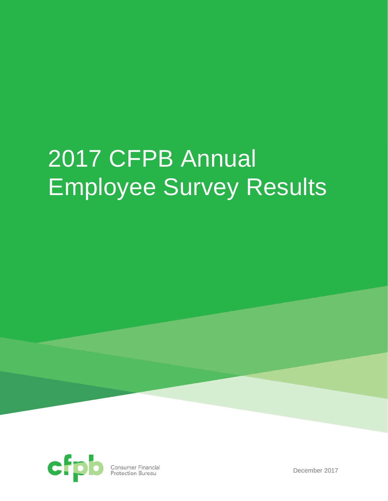# 2017 CFPB Annual Employee Survey Results



**Consumer Financial**<br>Protection Bureau

December 2017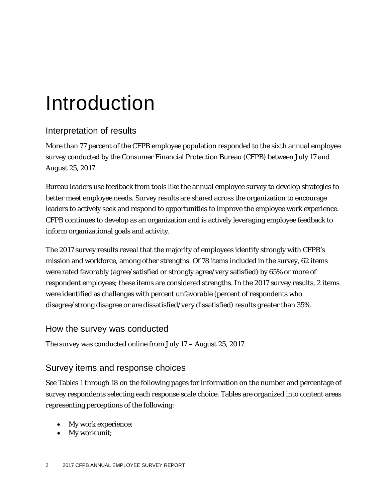# Introduction

# Interpretation of results

More than 77 percent of the CFPB employee population responded to the sixth annual employee survey conducted by the Consumer Financial Protection Bureau (CFPB) between July 17 and August 25, 2017.

Bureau leaders use feedback from tools like the annual employee survey to develop strategies to better meet employee needs. Survey results are shared across the organization to encourage leaders to actively seek and respond to opportunities to improve the employee work experience. CFPB continues to develop as an organization and is actively leveraging employee feedback to inform organizational goals and activity.

The 2017 survey results reveal that the majority of employees identify strongly with CFPB's mission and workforce, among other strengths. Of 78 items included in the survey, 62 items were rated favorably (agree/satisfied or strongly agree/very satisfied) by 65% or more of respondent employees; these items are considered strengths. In the 2017 survey results, 2 items were identified as challenges with percent unfavorable (percent of respondents who disagree/strong disagree or are dissatisfied/very dissatisfied) results greater than 35%.

### How the survey was conducted

The survey was conducted online from July 17 – August 25, 2017.

### Survey items and response choices

See Tables 1 through 18 on the following pages for information on the number and percentage of survey respondents selecting each response scale choice. Tables are organized into content areas representing perceptions of the following:

- My work experience;
- My work unit;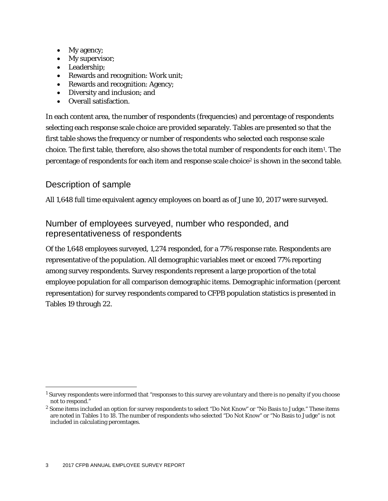- My agency;
- My supervisor;
- Leadership;
- Rewards and recognition: Work unit;
- Rewards and recognition: Agency;
- Diversity and inclusion; and
- Overall satisfaction.

In each content area, the number of respondents (frequencies) and percentage of respondents selecting each response scale choice are provided separately. Tables are presented so that the first table shows the frequency or number of respondents who selected each response scale choice. The first table, therefore, also shows the total number of respondents for each item[1.](#page-2-0) The percentage of respondents for each item and response scale choice<sup>[2](#page-2-1)</sup> is shown in the second table.

### Description of sample

All 1,648 full time equivalent agency employees on board as of June 10, 2017 were surveyed.

## Number of employees surveyed, number who responded, and representativeness of respondents

Of the 1,648 employees surveyed, 1,274 responded, for a 77% response rate. Respondents are representative of the population. All demographic variables meet or exceed 77% reporting among survey respondents. Survey respondents represent a large proportion of the total employee population for all comparison demographic items. Demographic information (percent representation) for survey respondents compared to CFPB population statistics is presented in Tables 19 through 22.

<span id="page-2-0"></span> <sup>1</sup> Survey respondents were informed that "responses to this survey are voluntary and there is no penalty if you choose not to respond."

<span id="page-2-1"></span><sup>&</sup>lt;sup>2</sup> Some items included an option for survey respondents to select "Do Not Know" or "No Basis to Judge." These items are noted in Tables 1 to 18. The number of respondents who selected "Do Not Know" or "No Basis to Judge" is not included in calculating percentages.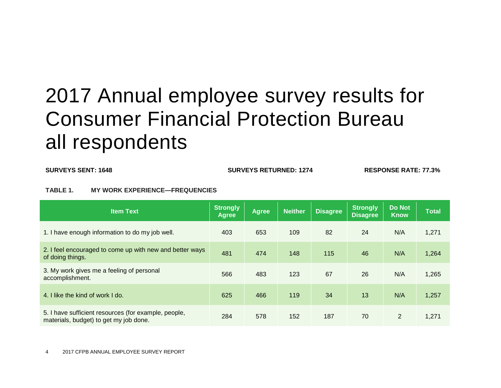# 2017 Annual employee survey results for Consumer Financial Protection Bureau all respondents

**SURVEYS SENT: 1648 SURVEYS RETURNED: 1274 RESPONSE RATE: 77.3%**

#### **TABLE 1. MY WORK EXPERIENCE—FREQUENCIES**

| <b>Item Text</b>                                                                               | <b>Strongly</b><br><b>Agree</b> | <b>Agree</b> | <b>Neither</b> | <b>Disagree</b> | Strongly<br><b>Disagree</b> | <b>Do Not</b><br><b>Know</b> | <b>Total</b> |
|------------------------------------------------------------------------------------------------|---------------------------------|--------------|----------------|-----------------|-----------------------------|------------------------------|--------------|
| 1. I have enough information to do my job well.                                                | 403                             | 653          | 109            | 82              | 24                          | N/A                          | 1,271        |
| 2. I feel encouraged to come up with new and better ways<br>of doing things.                   | 481                             | 474          | 148            | 115             | 46                          | N/A                          | 1,264        |
| 3. My work gives me a feeling of personal<br>accomplishment.                                   | 566                             | 483          | 123            | 67              | 26                          | N/A                          | 1,265        |
| 4. I like the kind of work I do.                                                               | 625                             | 466          | 119            | 34              | 13                          | N/A                          | 1,257        |
| 5. I have sufficient resources (for example, people,<br>materials, budget) to get my job done. | 284                             | 578          | 152            | 187             | 70                          | $\overline{2}$               | 1,271        |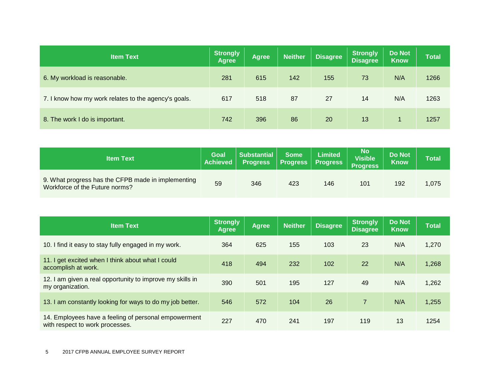| <b>Item Text</b>                                     | <b>Strongly</b><br><b>Agree</b> | <b>Agree</b> | <b>Neither</b> | <b>Disagree</b> | <b>Strongly</b><br><b>Disagree</b> | <b>Do Not</b><br><b>Know</b> | <b>Total</b> |
|------------------------------------------------------|---------------------------------|--------------|----------------|-----------------|------------------------------------|------------------------------|--------------|
| 6. My workload is reasonable.                        | 281                             | 615          | 142            | 155             | 73                                 | N/A                          | 1266         |
| 7. I know how my work relates to the agency's goals. | 617                             | 518          | 87             | 27              | 14                                 | N/A                          | 1263         |
| 8. The work I do is important.                       | 742                             | 396          | 86             | 20              | 13                                 |                              | 1257         |

| <b>Item Text</b>                                                                     | Goal<br><b>Achieved</b> | <b>Substantial</b><br><b>Progress</b> | <b>Some</b><br><b>Progress</b> | <b>Limited</b><br><b>Progress</b> | No<br>Visible <sup>1</sup><br><b>Progress</b> | <b>Do Not</b><br><b>Know</b> | <b>Total</b> |
|--------------------------------------------------------------------------------------|-------------------------|---------------------------------------|--------------------------------|-----------------------------------|-----------------------------------------------|------------------------------|--------------|
| 9. What progress has the CFPB made in implementing<br>Workforce of the Future norms? | 59                      | 346                                   | 423                            | 146                               | 101                                           | 192                          | 1,075        |

| <b>Item Text</b>                                                                        | <b>Strongly</b><br><b>Agree</b> | <b>Agree</b> | <b>Neither</b> | <b>Disagree</b> | Strongly<br><b>Disagree</b> | <b>Do Not</b><br><b>Know</b> | <b>Total</b> |
|-----------------------------------------------------------------------------------------|---------------------------------|--------------|----------------|-----------------|-----------------------------|------------------------------|--------------|
| 10. I find it easy to stay fully engaged in my work.                                    | 364                             | 625          | 155            | 103             | 23                          | N/A                          | 1,270        |
| 11. I get excited when I think about what I could<br>accomplish at work.                | 418                             | 494          | 232            | 102             | 22                          | N/A                          | 1,268        |
| 12. I am given a real opportunity to improve my skills in<br>my organization.           | 390                             | 501          | 195            | 127             | 49                          | N/A                          | 1,262        |
| 13. I am constantly looking for ways to do my job better.                               | 546                             | 572          | 104            | 26              | $\overline{7}$              | N/A                          | 1,255        |
| 14. Employees have a feeling of personal empowerment<br>with respect to work processes. | 227                             | 470          | 241            | 197             | 119                         | 13                           | 1254         |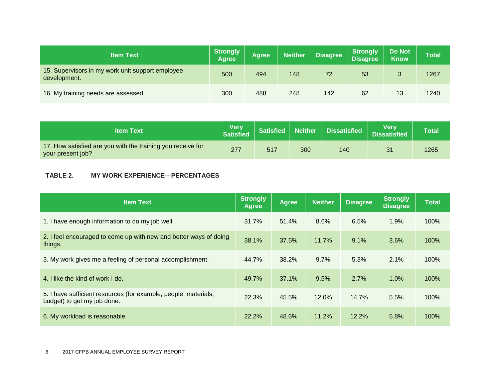| <b>Item Text</b>                                                 | Strongly<br><b>Agree</b> | Agree | <b>Neither</b> | <b>Disagree</b> | <b>Strongly</b><br><b>Disagree</b> | <b>Do Not</b><br><b>Know</b> | <b>Total</b> |
|------------------------------------------------------------------|--------------------------|-------|----------------|-----------------|------------------------------------|------------------------------|--------------|
| 15. Supervisors in my work unit support employee<br>development. | 500                      | 494   | 148            | 72              | 53                                 | 3                            | 1267         |
| 16. My training needs are assessed.                              | 300                      | 488   | 248            | 142             | 62                                 | 13                           | 1240         |

| <b>Item Text</b>                                                                 | <b>Very</b><br>Satisfied | Satisfied |     | Neither   Dissatisfied | Verv<br><b>Dissatisfied</b> | <b>Total</b> |
|----------------------------------------------------------------------------------|--------------------------|-----------|-----|------------------------|-----------------------------|--------------|
| 17. How satisfied are you with the training you receive for<br>your present job? | 277                      | 517       | 300 | 140                    | 31                          | 1265         |

#### **TABLE 2. MY WORK EXPERIENCE—PERCENTAGES**

| <b>Item Text</b>                                                                               | <b>Strongly</b><br>Agree | <b>Agree</b> | <b>Neither</b> | <b>Disagree</b> | <b>Strongly</b><br><b>Disagree</b> | <b>Total</b> |
|------------------------------------------------------------------------------------------------|--------------------------|--------------|----------------|-----------------|------------------------------------|--------------|
| 1. I have enough information to do my job well.                                                | 31.7%                    | 51.4%        | 8.6%           | 6.5%            | 1.9%                               | 100%         |
| 2. I feel encouraged to come up with new and better ways of doing<br>things.                   | 38.1%                    | 37.5%        | 11.7%          | 9.1%            | 3.6%                               | 100%         |
| 3. My work gives me a feeling of personal accomplishment.                                      | 44.7%                    | 38.2%        | 9.7%           | 5.3%            | 2.1%                               | 100%         |
| 4. I like the kind of work I do.                                                               | 49.7%                    | 37.1%        | 9.5%           | 2.7%            | 1.0%                               | 100%         |
| 5. I have sufficient resources (for example, people, materials,<br>budget) to get my job done. | 22.3%                    | 45.5%        | 12.0%          | 14.7%           | 5.5%                               | 100%         |
| 6. My workload is reasonable.                                                                  | 22.2%                    | 48.6%        | 11.2%          | 12.2%           | 5.8%                               | 100%         |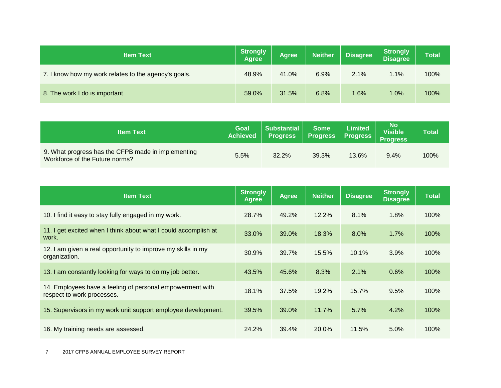| <b>Item Text</b>                                     | <b>Strongly</b><br><b>Agree</b> | <b>Agree</b> | <b>Neither</b> | <b>Disagree</b> | <b>Strongly</b><br><b>Disagree</b> | Total |
|------------------------------------------------------|---------------------------------|--------------|----------------|-----------------|------------------------------------|-------|
| 7. I know how my work relates to the agency's goals. | 48.9%                           | 41.0%        | 6.9%           | 2.1%            | $1.1\%$                            | 100%  |
| 8. The work I do is important.                       | 59.0%                           | 31.5%        | 6.8%           | 1.6%            | $1.0\%$                            | 100%  |

| <b>Item Text</b>                                                                     | <b>Goal</b><br><b>Achieved</b> | <b>Substantial</b><br><b>Progress</b> | <b>Some</b><br><b>Progress</b> | <b>Limited</b><br><b>Progress</b> | No<br>Visible<br><b>Progress</b> | Total |
|--------------------------------------------------------------------------------------|--------------------------------|---------------------------------------|--------------------------------|-----------------------------------|----------------------------------|-------|
| 9. What progress has the CFPB made in implementing<br>Workforce of the Future norms? | 5.5%                           | 32.2%                                 | 39.3%                          | 13.6%                             | 9.4%                             | 100%  |

| <b>Item Text</b>                                                                        | <b>Strongly</b><br><b>Agree</b> | <b>Agree</b> | <b>Neither</b> | <b>Disagree</b> | <b>Strongly</b><br><b>Disagree</b> | <b>Total</b> |
|-----------------------------------------------------------------------------------------|---------------------------------|--------------|----------------|-----------------|------------------------------------|--------------|
| 10. I find it easy to stay fully engaged in my work.                                    | 28.7%                           | 49.2%        | 12.2%          | 8.1%            | 1.8%                               | 100%         |
| 11. I get excited when I think about what I could accomplish at<br>work.                | 33.0%                           | 39.0%        | 18.3%          | 8.0%            | 1.7%                               | 100%         |
| 12. I am given a real opportunity to improve my skills in my<br>organization.           | 30.9%                           | 39.7%        | 15.5%          | 10.1%           | 3.9%                               | 100%         |
| 13. I am constantly looking for ways to do my job better.                               | 43.5%                           | 45.6%        | 8.3%           | 2.1%            | 0.6%                               | 100%         |
| 14. Employees have a feeling of personal empowerment with<br>respect to work processes. | 18.1%                           | 37.5%        | 19.2%          | 15.7%           | 9.5%                               | 100%         |
| 15. Supervisors in my work unit support employee development.                           | 39.5%                           | 39.0%        | 11.7%          | 5.7%            | 4.2%                               | 100%         |
| 16. My training needs are assessed.                                                     | 24.2%                           | 39.4%        | 20.0%          | 11.5%           | 5.0%                               | 100%         |

7 2017 CFPB ANNUAL EMPLOYEE SURVEY REPORT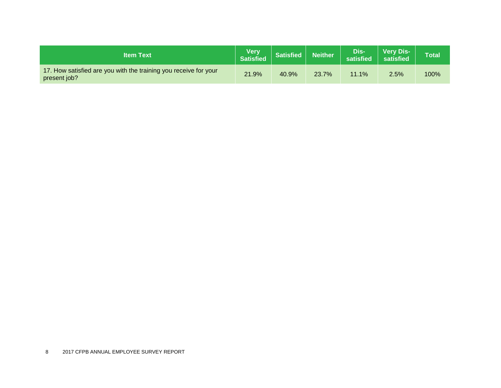| <b>Item Text</b>                                                                 | <b>Very</b><br><b>Satisfied</b> | <b>Satisfied</b> | Neither | Dis-<br>satisfied | <b>Very Dis-</b><br>satisfied | <b>Total</b> |
|----------------------------------------------------------------------------------|---------------------------------|------------------|---------|-------------------|-------------------------------|--------------|
| 17. How satisfied are you with the training you receive for your<br>present job? | 21.9%                           | 40.9%            | 23.7%   | 11.1%             | 2.5%                          | 100%         |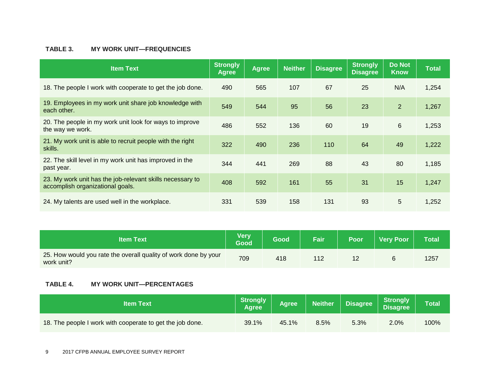#### **TABLE 3. MY WORK UNIT—FREQUENCIES**

| <b>Item Text</b>                                                                              | <b>Strongly</b><br>Agree | <b>Agree</b> | <b>Neither</b> | <b>Disagree</b> | <b>Strongly</b><br><b>Disagree</b> | <b>Do Not</b><br><b>Know</b> | <b>Total</b> |
|-----------------------------------------------------------------------------------------------|--------------------------|--------------|----------------|-----------------|------------------------------------|------------------------------|--------------|
| 18. The people I work with cooperate to get the job done.                                     | 490                      | 565          | 107            | 67              | 25                                 | N/A                          | 1,254        |
| 19. Employees in my work unit share job knowledge with<br>each other.                         | 549                      | 544          | 95             | 56              | 23                                 | $\overline{2}$               | 1,267        |
| 20. The people in my work unit look for ways to improve<br>the way we work.                   | 486                      | 552          | 136            | 60              | 19                                 | 6                            | 1,253        |
| 21. My work unit is able to recruit people with the right<br>skills.                          | 322                      | 490          | 236            | 110             | 64                                 | 49                           | 1,222        |
| 22. The skill level in my work unit has improved in the<br>past year.                         | 344                      | 441          | 269            | 88              | 43                                 | 80                           | 1,185        |
| 23. My work unit has the job-relevant skills necessary to<br>accomplish organizational goals. | 408                      | 592          | 161            | 55              | 31                                 | 15                           | 1,247        |
| 24. My talents are used well in the workplace.                                                | 331                      | 539          | 158            | 131             | 93                                 | 5                            | 1,252        |

| <b>Item Text</b>                                                              | <b>Very</b><br>Good | Good | Fair | <b>Poor</b> | <b>Very Poor</b> | Total |
|-------------------------------------------------------------------------------|---------------------|------|------|-------------|------------------|-------|
| 25. How would you rate the overall quality of work done by your<br>work unit? | 709                 | 418  |      |             |                  | 1257  |

#### **TABLE 4. MY WORK UNIT—PERCENTAGES**

| <b>Item Text</b>                                          | Strongly<br><b>Agree</b> | <b>Agree</b> | <b>Neither</b> | <b>Disagree</b> | <b>Strongly</b><br><b>Disagree</b> | <b>Total</b> |
|-----------------------------------------------------------|--------------------------|--------------|----------------|-----------------|------------------------------------|--------------|
| 18. The people I work with cooperate to get the job done. | 39.1%                    | 45.1%        | 8.5%           | 5.3%            | 2.0%                               | 100%         |

9 2017 CFPB ANNUAL EMPLOYEE SURVEY REPORT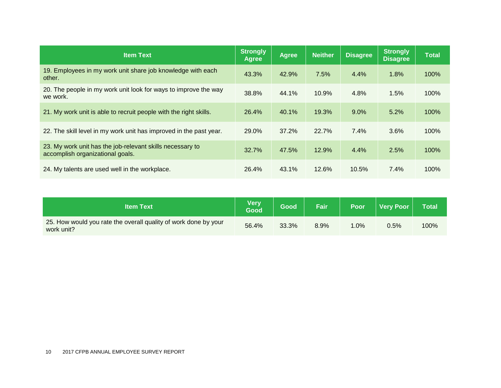| <b>Item Text</b>                                                                              | <b>Strongly</b><br><b>Agree</b> | <b>Agree</b> | <b>Neither</b> | <b>Disagree</b> | <b>Strongly</b><br><b>Disagree</b> | <b>Total</b> |
|-----------------------------------------------------------------------------------------------|---------------------------------|--------------|----------------|-----------------|------------------------------------|--------------|
| 19. Employees in my work unit share job knowledge with each<br>other.                         | 43.3%                           | 42.9%        | 7.5%           | 4.4%            | 1.8%                               | 100%         |
| 20. The people in my work unit look for ways to improve the way<br>we work.                   | 38.8%                           | 44.1%        | 10.9%          | 4.8%            | 1.5%                               | 100%         |
| 21. My work unit is able to recruit people with the right skills.                             | 26.4%                           | 40.1%        | 19.3%          | 9.0%            | 5.2%                               | 100%         |
| 22. The skill level in my work unit has improved in the past year.                            | 29.0%                           | 37.2%        | 22.7%          | 7.4%            | 3.6%                               | 100%         |
| 23. My work unit has the job-relevant skills necessary to<br>accomplish organizational goals. | 32.7%                           | 47.5%        | 12.9%          | 4.4%            | 2.5%                               | 100%         |
| 24. My talents are used well in the workplace.                                                | 26.4%                           | 43.1%        | 12.6%          | 10.5%           | $7.4\%$                            | 100%         |

| <b>Item Text</b>                                                              | <b>Very</b><br>Good | Good  | Fair | Poor            | <b>Very Poor</b> | <b>Total</b> |
|-------------------------------------------------------------------------------|---------------------|-------|------|-----------------|------------------|--------------|
| 25. How would you rate the overall quality of work done by your<br>work unit? | 56.4%               | 33.3% | 8.9% | $^{\prime}$ .0% | 0.5%             | 100%         |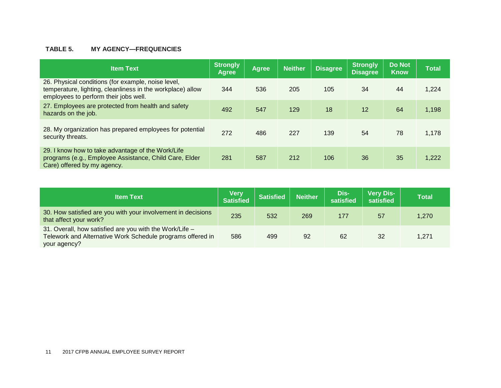#### **TABLE 5. MY AGENCY—FREQUENCIES**

| <b>Item Text</b>                                                                                                                                          | Strongly<br><b>Agree</b> | <b>Agree</b> | <b>Neither</b> | <b>Disagree</b> | <b>Strongly</b><br><b>Disagree</b> | <b>Do Not</b><br><b>Know</b> | <b>Total</b> |
|-----------------------------------------------------------------------------------------------------------------------------------------------------------|--------------------------|--------------|----------------|-----------------|------------------------------------|------------------------------|--------------|
| 26. Physical conditions (for example, noise level,<br>temperature, lighting, cleanliness in the workplace) allow<br>employees to perform their jobs well. | 344                      | 536          | 205            | 105             | 34                                 | 44                           | 1,224        |
| 27. Employees are protected from health and safety<br>hazards on the job.                                                                                 | 492                      | 547          | 129            | 18              | 12                                 | 64                           | 1,198        |
| 28. My organization has prepared employees for potential<br>security threats.                                                                             | 272                      | 486          | 227            | 139             | 54                                 | 78                           | 1,178        |
| 29. I know how to take advantage of the Work/Life<br>programs (e.g., Employee Assistance, Child Care, Elder<br>Care) offered by my agency.                | 281                      | 587          | 212            | 106             | 36                                 | 35                           | 1,222        |

| <b>Item Text</b>                                                                                                                      | <b>Very</b><br><b>Satisfied</b> | <b>Satisfied</b> | <b>Neither</b> | Dis-<br>satisfied | <b>Very Dis-</b><br>satisfied | <b>Total</b> |
|---------------------------------------------------------------------------------------------------------------------------------------|---------------------------------|------------------|----------------|-------------------|-------------------------------|--------------|
| 30. How satisfied are you with your involvement in decisions<br>that affect your work?                                                | 235                             | 532              | 269            | 177               | 57                            | 1.270        |
| 31. Overall, how satisfied are you with the Work/Life -<br>Telework and Alternative Work Schedule programs offered in<br>your agency? | 586                             | 499              | 92             | 62                | 32                            | 1.271        |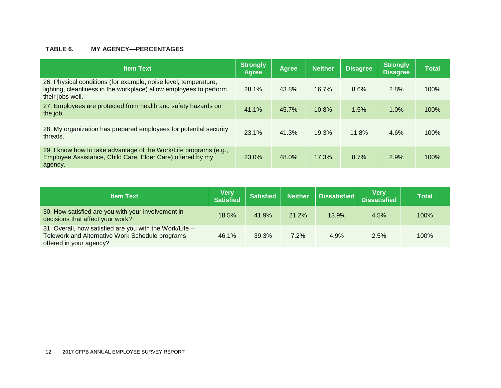#### **TABLE 6. MY AGENCY—PERCENTAGES**

| <b>Item Text</b>                                                                                                                                          | <b>Strongly</b><br><b>Agree</b> | <b>Agree</b> | <b>Neither</b> | <b>Disagree</b> | Strongly<br><b>Disagree</b> | <b>Total</b> |
|-----------------------------------------------------------------------------------------------------------------------------------------------------------|---------------------------------|--------------|----------------|-----------------|-----------------------------|--------------|
| 26. Physical conditions (for example, noise level, temperature,<br>lighting, cleanliness in the workplace) allow employees to perform<br>their jobs well. | 28.1%                           | 43.8%        | 16.7%          | 8.6%            | 2.8%                        | 100%         |
| 27. Employees are protected from health and safety hazards on<br>the job.                                                                                 | 41.1%                           | 45.7%        | 10.8%          | 1.5%            | 1.0%                        | 100%         |
| 28. My organization has prepared employees for potential security<br>threats.                                                                             | 23.1%                           | 41.3%        | 19.3%          | 11.8%           | 4.6%                        | 100%         |
| 29. I know how to take advantage of the Work/Life programs (e.g.,<br>Employee Assistance, Child Care, Elder Care) offered by my<br>agency.                | 23.0%                           | 48.0%        | 17.3%          | 8.7%            | 2.9%                        | 100%         |

| <b>Item Text</b>                                                                                                                      | <b>Very</b><br><b>Satisfied</b> | <b>Satisfied</b> | Neither | Dissatisfied | Very<br>Dissatisfied | Total |
|---------------------------------------------------------------------------------------------------------------------------------------|---------------------------------|------------------|---------|--------------|----------------------|-------|
| 30. How satisfied are you with your involvement in<br>decisions that affect your work?                                                | 18.5%                           | 41.9%            | 21.2%   | 13.9%        | 4.5%                 | 100%  |
| 31. Overall, how satisfied are you with the Work/Life -<br>Telework and Alternative Work Schedule programs<br>offered in your agency? | 46.1%                           | 39.3%            | 7.2%    | 4.9%         | 2.5%                 | 100%  |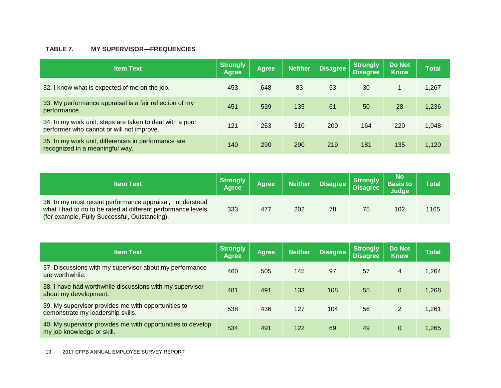#### **TABLE 7. MY SUPERVISOR—FREQUENCIES**

| <b>Item Text</b>                                                                                      | <b>Strongly</b><br><b>Agree</b> | <b>Agree</b> | <b>Neither</b> | <b>Disagree</b> | <b>Strongly</b><br><b>Disagree</b> | <b>Do Not</b><br><b>Know</b> | <b>Total</b> |
|-------------------------------------------------------------------------------------------------------|---------------------------------|--------------|----------------|-----------------|------------------------------------|------------------------------|--------------|
| 32. I know what is expected of me on the job.                                                         | 453                             | 648          | 83             | 53              | 30                                 |                              | 1,267        |
| 33. My performance appraisal is a fair reflection of my<br>performance.                               | 451                             | 539          | 135            | 61              | 50                                 | 28                           | 1,236        |
| 34. In my work unit, steps are taken to deal with a poor<br>performer who cannot or will not improve. | 121                             | 253          | 310            | 200             | 164                                | 220                          | 1,048        |
| 35. In my work unit, differences in performance are<br>recognized in a meaningful way.                | 140                             | 290          | 290            | 219             | 181                                | 135                          | 1,120        |

| <b>Item Text</b>                                                                                                                                                           | Strongly<br><b>Agree</b> | Agree | <b>Neither</b> | Disagree | Strongly<br>Disagree | No<br><b>Basis to</b><br>Judge | <b>Total</b> |
|----------------------------------------------------------------------------------------------------------------------------------------------------------------------------|--------------------------|-------|----------------|----------|----------------------|--------------------------------|--------------|
| 36. In my most recent performance appraisal, I understood<br>what I had to do to be rated at different performance levels<br>(for example, Fully Successful, Outstanding). | 333                      | 477   | 202            | 78       | 75                   | 102                            | 1165         |

| <b>Item Text</b>                                                                          | <b>Strongly</b><br><b>Agree</b> | <b>Agree</b> | <b>Neither</b> | <b>Disagree</b> | <b>Strongly</b><br><b>Disagree</b> | <b>Do Not</b><br><b>Know</b> | <b>Total</b> |
|-------------------------------------------------------------------------------------------|---------------------------------|--------------|----------------|-----------------|------------------------------------|------------------------------|--------------|
| 37. Discussions with my supervisor about my performance<br>are worthwhile.                | 460                             | 505          | 145            | 97              | 57                                 | 4                            | 1,264        |
| 38. I have had worthwhile discussions with my supervisor<br>about my development.         | 481                             | 491          | 133            | 108             | 55                                 | $\Omega$                     | 1,268        |
| 39. My supervisor provides me with opportunities to<br>demonstrate my leadership skills.  | 538                             | 436          | 127            | 104             | 56                                 | 2                            | 1,261        |
| 40. My supervisor provides me with opportunities to develop<br>my job knowledge or skill. | 534                             | 491          | 122            | 69              | 49                                 | $\overline{0}$               | 1,265        |

13 2017 CFPB ANNUAL EMPLOYEE SURVEY REPORT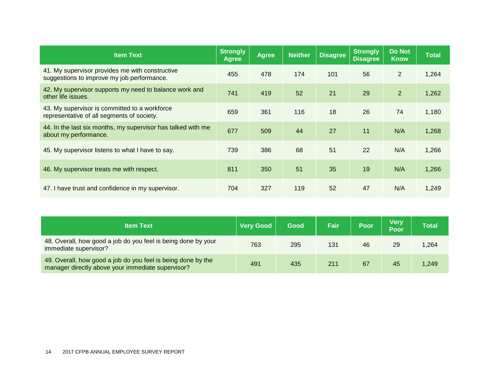| <b>Item Text</b>                                                                              | <b>Strongly</b><br><b>Agree</b> | <b>Agree</b> | <b>Neither</b> | <b>Disagree</b> | <b>Strongly</b><br><b>Disagree</b> | <b>Do Not</b><br><b>Know</b> | <b>Total</b> |
|-----------------------------------------------------------------------------------------------|---------------------------------|--------------|----------------|-----------------|------------------------------------|------------------------------|--------------|
| 41. My supervisor provides me with constructive<br>suggestions to improve my job performance. | 455                             | 478          | 174            | 101             | 56                                 | $\overline{2}$               | 1,264        |
| 42. My supervisor supports my need to balance work and<br>other life issues.                  | 741                             | 419          | 52             | 21              | 29                                 | $\overline{2}$               | 1,262        |
| 43. My supervisor is committed to a workforce<br>representative of all segments of society.   | 659                             | 361          | 116            | 18              | 26                                 | 74                           | 1,180        |
| 44. In the last six months, my supervisor has talked with me<br>about my performance.         | 677                             | 509          | 44             | 27              | 11                                 | N/A                          | 1,268        |
| 45. My supervisor listens to what I have to say.                                              | 739                             | 386          | 68             | 51              | 22                                 | N/A                          | 1,266        |
| 46. My supervisor treats me with respect.                                                     | 811                             | 350          | 51             | 35              | 19                                 | N/A                          | 1,266        |
| 47. I have trust and confidence in my supervisor.                                             | 704                             | 327          | 119            | 52              | 47                                 | N/A                          | 1,249        |

| <b>Item Text</b>                                                                                                  | <b>Very Good</b> | Good | <b>Fair</b> | Poor | <b>Verv</b><br>Poor | Total |
|-------------------------------------------------------------------------------------------------------------------|------------------|------|-------------|------|---------------------|-------|
| 48. Overall, how good a job do you feel is being done by your<br>immediate supervisor?                            | 763              | 295  | 131         | 46   | 29                  | ,264  |
| 49. Overall, how good a job do you feel is being done by the<br>manager directly above your immediate supervisor? | 491              | 435  | 211         | 67   | 45                  | 1.249 |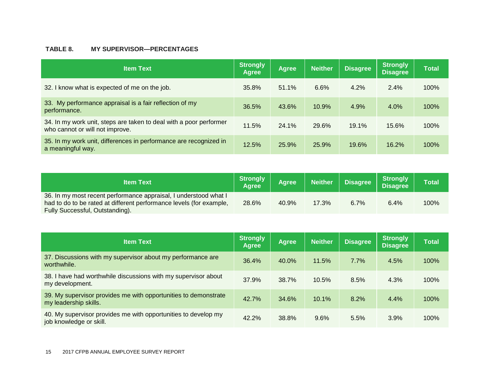#### **TABLE 8. MY SUPERVISOR—PERCENTAGES**

| <b>Item Text</b>                                                                                      | Strongly<br>Agree | <b>Agree</b> | <b>Neither</b> | <b>Disagree</b> | Strongly<br><b>Disagree</b> | <b>Total</b> |
|-------------------------------------------------------------------------------------------------------|-------------------|--------------|----------------|-----------------|-----------------------------|--------------|
| 32. I know what is expected of me on the job.                                                         | 35.8%             | 51.1%        | 6.6%           | 4.2%            | $2.4\%$                     | 100%         |
| 33. My performance appraisal is a fair reflection of my<br>performance.                               | 36.5%             | 43.6%        | 10.9%          | 4.9%            | 4.0%                        | 100%         |
| 34. In my work unit, steps are taken to deal with a poor performer<br>who cannot or will not improve. | 11.5%             | 24.1%        | 29.6%          | 19.1%           | 15.6%                       | 100%         |
| 35. In my work unit, differences in performance are recognized in<br>a meaningful way.                | 12.5%             | 25.9%        | 25.9%          | 19.6%           | 16.2%                       | 100%         |

| <b>Item Text</b>                                                                                                                                                           | <b>Strongly</b><br><b>Agree</b> | <b>Agree</b> | <b>Neither</b> | <b>Disagree</b> | <b>Strongly</b><br>Disagree | <b>Total</b> |
|----------------------------------------------------------------------------------------------------------------------------------------------------------------------------|---------------------------------|--------------|----------------|-----------------|-----------------------------|--------------|
| 36. In my most recent performance appraisal, I understood what I<br>had to do to be rated at different performance levels (for example,<br>Fully Successful, Outstanding). | 28.6%                           | 40.9%        | 17.3%          | 6.7%            | 6.4%                        | 100%         |

| <b>Item Text</b>                                                                          | Strongly<br>Agree | <b>Agree</b> | <b>Neither</b> | <b>Disagree</b> | Strongly<br><b>Disagree</b> | <b>Total</b> |
|-------------------------------------------------------------------------------------------|-------------------|--------------|----------------|-----------------|-----------------------------|--------------|
| 37. Discussions with my supervisor about my performance are<br>worthwhile.                | 36.4%             | 40.0%        | 11.5%          | 7.7%            | 4.5%                        | 100%         |
| 38. I have had worthwhile discussions with my supervisor about<br>my development.         | 37.9%             | 38.7%        | 10.5%          | 8.5%            | 4.3%                        | 100%         |
| 39. My supervisor provides me with opportunities to demonstrate<br>my leadership skills.  | 42.7%             | 34.6%        | 10.1%          | 8.2%            | 4.4%                        | 100%         |
| 40. My supervisor provides me with opportunities to develop my<br>job knowledge or skill. | 42.2%             | 38.8%        | 9.6%           | 5.5%            | 3.9%                        | 100%         |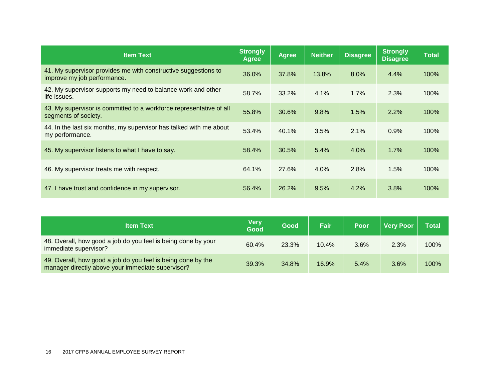| <b>Item Text</b>                                                                              | <b>Strongly</b><br><b>Agree</b> | <b>Agree</b> | <b>Neither</b> | <b>Disagree</b> | <b>Strongly</b><br><b>Disagree</b> | <b>Total</b> |
|-----------------------------------------------------------------------------------------------|---------------------------------|--------------|----------------|-----------------|------------------------------------|--------------|
| 41. My supervisor provides me with constructive suggestions to<br>improve my job performance. | 36.0%                           | 37.8%        | 13.8%          | 8.0%            | 4.4%                               | 100%         |
| 42. My supervisor supports my need to balance work and other<br>life issues.                  | 58.7%                           | 33.2%        | 4.1%           | 1.7%            | 2.3%                               | 100%         |
| 43. My supervisor is committed to a workforce representative of all<br>segments of society.   | 55.8%                           | 30.6%        | 9.8%           | 1.5%            | 2.2%                               | 100%         |
| 44. In the last six months, my supervisor has talked with me about<br>my performance.         | 53.4%                           | 40.1%        | 3.5%           | $2.1\%$         | 0.9%                               | 100%         |
| 45. My supervisor listens to what I have to say.                                              | 58.4%                           | 30.5%        | 5.4%           | 4.0%            | 1.7%                               | 100%         |
| 46. My supervisor treats me with respect.                                                     | 64.1%                           | 27.6%        | 4.0%           | 2.8%            | 1.5%                               | 100%         |
| 47. I have trust and confidence in my supervisor.                                             | 56.4%                           | 26.2%        | 9.5%           | 4.2%            | 3.8%                               | 100%         |

| <b>Item Text</b>                                                                                                  | <b>Very</b><br>Good | Good  | Fair, | Poor | <b>Very Poor</b> | <b>Total</b> |
|-------------------------------------------------------------------------------------------------------------------|---------------------|-------|-------|------|------------------|--------------|
| 48. Overall, how good a job do you feel is being done by your<br>immediate supervisor?                            | 60.4%               | 23.3% | 10.4% | 3.6% | 2.3%             | 100%         |
| 49. Overall, how good a job do you feel is being done by the<br>manager directly above your immediate supervisor? | 39.3%               | 34.8% | 16.9% | 5.4% | 3.6%             | 100%         |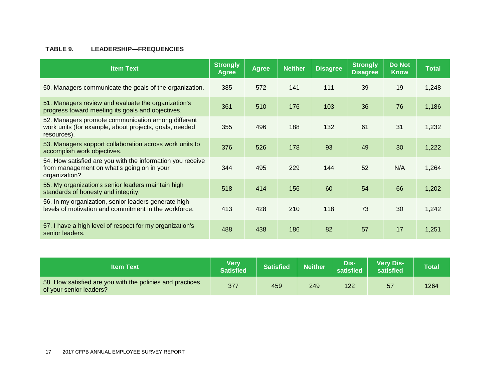#### **TABLE 9. LEADERSHIP—FREQUENCIES**

| <b>Item Text</b>                                                                                                            | <b>Strongly</b><br>Agree | <b>Agree</b> | <b>Neither</b> | <b>Disagree</b> | <b>Strongly</b><br><b>Disagree</b> | <b>Do Not</b><br><b>Know</b> | <b>Total</b> |
|-----------------------------------------------------------------------------------------------------------------------------|--------------------------|--------------|----------------|-----------------|------------------------------------|------------------------------|--------------|
| 50. Managers communicate the goals of the organization.                                                                     | 385                      | 572          | 141            | 111             | 39                                 | 19                           | 1,248        |
| 51. Managers review and evaluate the organization's<br>progress toward meeting its goals and objectives.                    | 361                      | 510          | 176            | 103             | 36                                 | 76                           | 1,186        |
| 52. Managers promote communication among different<br>work units (for example, about projects, goals, needed<br>resources). | 355                      | 496          | 188            | 132             | 61                                 | 31                           | 1,232        |
| 53. Managers support collaboration across work units to<br>accomplish work objectives.                                      | 376                      | 526          | 178            | 93              | 49                                 | 30                           | 1,222        |
| 54. How satisfied are you with the information you receive<br>from management on what's going on in your<br>organization?   | 344                      | 495          | 229            | 144             | 52                                 | N/A                          | 1,264        |
| 55. My organization's senior leaders maintain high<br>standards of honesty and integrity.                                   | 518                      | 414          | 156            | 60              | 54                                 | 66                           | 1,202        |
| 56. In my organization, senior leaders generate high<br>levels of motivation and commitment in the workforce.               | 413                      | 428          | 210            | 118             | 73                                 | 30                           | 1,242        |
| 57. I have a high level of respect for my organization's<br>senior leaders.                                                 | 488                      | 438          | 186            | 82              | 57                                 | 17                           | 1,251        |

| <b>Item Text</b>                                                                     | <b>Very</b><br>Satisfied | <b>Satisfied</b> | <b>Neither</b> | Dis-<br>satisfied | <b>Very Dis-</b><br>satisfied | Total |
|--------------------------------------------------------------------------------------|--------------------------|------------------|----------------|-------------------|-------------------------------|-------|
| 58. How satisfied are you with the policies and practices<br>of your senior leaders? | 377                      | 459              | 249            | 122               | 57                            | 1264  |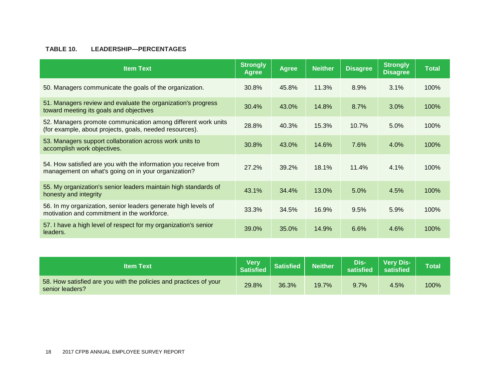#### **TABLE 10. LEADERSHIP—PERCENTAGES**

| <b>Item Text</b>                                                                                                         | <b>Strongly</b><br>Agree | <b>Agree</b> | <b>Neither</b> | <b>Disagree</b> | <b>Strongly</b><br><b>Disagree</b> | <b>Total</b> |
|--------------------------------------------------------------------------------------------------------------------------|--------------------------|--------------|----------------|-----------------|------------------------------------|--------------|
| 50. Managers communicate the goals of the organization.                                                                  | 30.8%                    | 45.8%        | 11.3%          | 8.9%            | 3.1%                               | 100%         |
| 51. Managers review and evaluate the organization's progress<br>toward meeting its goals and objectives                  | 30.4%                    | 43.0%        | 14.8%          | 8.7%            | 3.0%                               | 100%         |
| 52. Managers promote communication among different work units<br>(for example, about projects, goals, needed resources). | 28.8%                    | 40.3%        | 15.3%          | 10.7%           | 5.0%                               | 100%         |
| 53. Managers support collaboration across work units to<br>accomplish work objectives.                                   | 30.8%                    | 43.0%        | 14.6%          | 7.6%            | 4.0%                               | 100%         |
| 54. How satisfied are you with the information you receive from<br>management on what's going on in your organization?   | 27.2%                    | 39.2%        | 18.1%          | 11.4%           | 4.1%                               | 100%         |
| 55. My organization's senior leaders maintain high standards of<br>honesty and integrity                                 | 43.1%                    | 34.4%        | 13.0%          | 5.0%            | 4.5%                               | 100%         |
| 56. In my organization, senior leaders generate high levels of<br>motivation and commitment in the workforce.            | 33.3%                    | 34.5%        | 16.9%          | 9.5%            | 5.9%                               | 100%         |
| 57. I have a high level of respect for my organization's senior<br>leaders.                                              | 39.0%                    | 35.0%        | 14.9%          | 6.6%            | 4.6%                               | 100%         |

| <b>Item Text</b>                                                                     | Very<br><b>Satisfied</b> | <b>Satisfied</b> | <b>Neither</b> | Dis-'<br>satisfied | <b>Very Dis-</b><br>satisfied | <b>Total</b> |
|--------------------------------------------------------------------------------------|--------------------------|------------------|----------------|--------------------|-------------------------------|--------------|
| 58. How satisfied are you with the policies and practices of your<br>senior leaders? | 29.8%                    | 36.3%            | 19.7%          | $9.7\%$            | 4.5%                          | 100%         |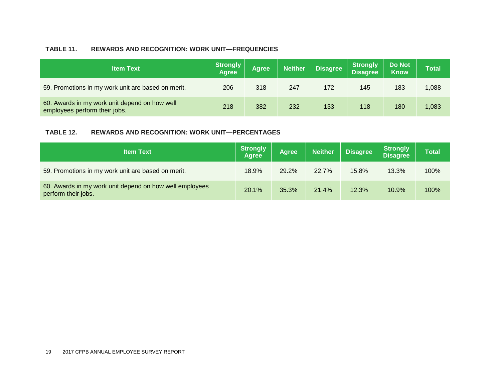#### **TABLE 11. REWARDS AND RECOGNITION: WORK UNIT—FREQUENCIES**

| <b>Item Text</b>                                                               | <b>Strongly</b><br><b>Agree</b> | <b>Agree</b> | <b>Neither</b> | <b>Disagree</b> | Strongly<br> Disagree | <b>Do Not</b><br><b>Know</b> | Total |
|--------------------------------------------------------------------------------|---------------------------------|--------------|----------------|-----------------|-----------------------|------------------------------|-------|
| 59. Promotions in my work unit are based on merit.                             | 206                             | 318          | 247            | 172             | 145                   | 183                          | 1,088 |
| 60. Awards in my work unit depend on how well<br>employees perform their jobs. | 218                             | 382          | 232            | 133             | 118                   | 180                          | 1,083 |

#### **TABLE 12. REWARDS AND RECOGNITION: WORK UNIT—PERCENTAGES**

| <b>Item Text</b>                                                               | <b>Strongly</b><br><b>Agree</b> | <b>Agree</b> | <b>Neither</b> | <b>Disagree</b> | <b>Strongly</b><br><b>Disagree</b> | Total |
|--------------------------------------------------------------------------------|---------------------------------|--------------|----------------|-----------------|------------------------------------|-------|
| 59. Promotions in my work unit are based on merit.                             | 18.9%                           | 29.2%        | 22.7%          | 15.8%           | 13.3%                              | 100%  |
| 60. Awards in my work unit depend on how well employees<br>perform their jobs. | 20.1%                           | 35.3%        | 21.4%          | 12.3%           | 10.9%                              | 100%  |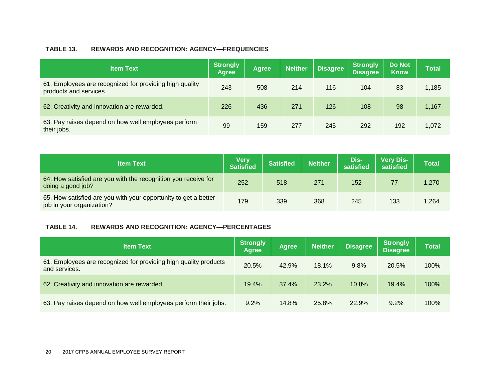#### **TABLE 13. REWARDS AND RECOGNITION: AGENCY—FREQUENCIES**

| <b>Item Text</b>                                                                  | <b>Strongly</b><br>Agree | <b>Agree</b> | <b>Neither</b> | <b>Disagree</b> | <b>Strongly</b><br><b>Disagree</b> | <b>Do Not</b><br><b>Know</b> | <b>Total</b> |
|-----------------------------------------------------------------------------------|--------------------------|--------------|----------------|-----------------|------------------------------------|------------------------------|--------------|
| 61. Employees are recognized for providing high quality<br>products and services. | 243                      | 508          | 214            | 116             | 104                                | 83                           | 1,185        |
| 62. Creativity and innovation are rewarded.                                       | 226                      | 436          | 271            | 126             | 108                                | 98                           | 1,167        |
| 63. Pay raises depend on how well employees perform<br>their jobs.                | 99                       | 159          | 277            | 245             | 292                                | 192                          | 1,072        |

| <b>Item Text</b>                                                                             | Very<br><b>Satisfied</b> | <b>Satisfied</b> | <b>Neither</b> | Dis-<br>satisfied | <b>Very Dis-</b><br>satisfied | <b>Total</b> |
|----------------------------------------------------------------------------------------------|--------------------------|------------------|----------------|-------------------|-------------------------------|--------------|
| 64. How satisfied are you with the recognition you receive for<br>doing a good job?          | 252                      | 518              | 271            | 152               | 77                            | 1,270        |
| 65. How satisfied are you with your opportunity to get a better<br>job in your organization? | 179                      | 339              | 368            | 245               | 133                           | 1,264        |

#### **TABLE 14. REWARDS AND RECOGNITION: AGENCY—PERCENTAGES**

| <b>Item Text</b>                                                                  | <b>Strongly</b><br><b>Agree</b> | <b>Agree</b> | <b>Neither</b> | <b>Disagree</b> | <b>Strongly</b><br><b>Disagree</b> | Total |
|-----------------------------------------------------------------------------------|---------------------------------|--------------|----------------|-----------------|------------------------------------|-------|
| 61. Employees are recognized for providing high quality products<br>and services. | 20.5%                           | 42.9%        | 18.1%          | 9.8%            | 20.5%                              | 100%  |
| 62. Creativity and innovation are rewarded.                                       | 19.4%                           | 37.4%        | 23.2%          | 10.8%           | 19.4%                              | 100%  |
| 63. Pay raises depend on how well employees perform their jobs.                   | 9.2%                            | 14.8%        | 25.8%          | 22.9%           | 9.2%                               | 100%  |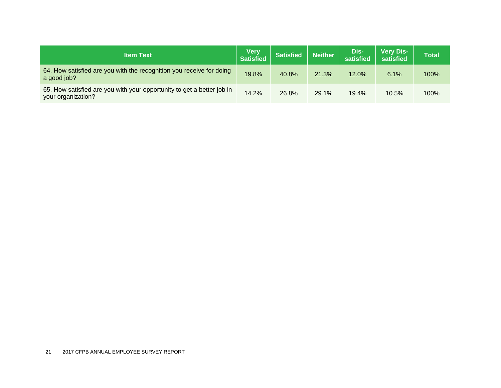| <b>Item Text</b>                                                                             | <b>Very</b><br>Satisfied | <b>Satisfied</b> | <b>Neither</b> | Dis-<br>satisfied | <b>Very Dis-</b><br>satisfied | <b>Total</b> |
|----------------------------------------------------------------------------------------------|--------------------------|------------------|----------------|-------------------|-------------------------------|--------------|
| 64. How satisfied are you with the recognition you receive for doing<br>a good job?          | 19.8%                    | 40.8%            | 21.3%          | 12.0%             | 6.1%                          | 100%         |
| 65. How satisfied are you with your opportunity to get a better job in<br>your organization? | 14.2%                    | 26.8%            | 29.1%          | 19.4%             | 10.5%                         | 100%         |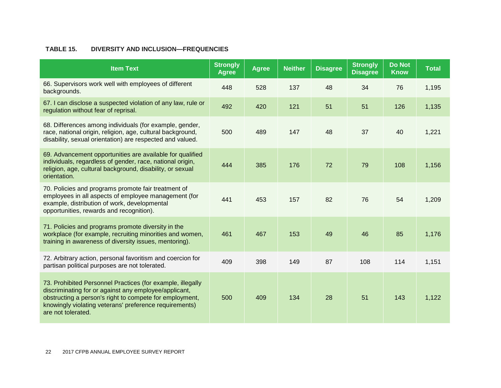#### **TABLE 15. DIVERSITY AND INCLUSION—FREQUENCIES**

| <b>Item Text</b>                                                                                                                                                                                                                                               | <b>Strongly</b><br><b>Agree</b> | <b>Agree</b> | <b>Neither</b> | <b>Disagree</b> | <b>Strongly</b><br><b>Disagree</b> | <b>Do Not</b><br><b>Know</b> | <b>Total</b> |
|----------------------------------------------------------------------------------------------------------------------------------------------------------------------------------------------------------------------------------------------------------------|---------------------------------|--------------|----------------|-----------------|------------------------------------|------------------------------|--------------|
| 66. Supervisors work well with employees of different<br>backgrounds.                                                                                                                                                                                          | 448                             | 528          | 137            | 48              | 34                                 | 76                           | 1,195        |
| 67. I can disclose a suspected violation of any law, rule or<br>regulation without fear of reprisal.                                                                                                                                                           | 492                             | 420          | 121            | 51              | 51                                 | 126                          | 1,135        |
| 68. Differences among individuals (for example, gender,<br>race, national origin, religion, age, cultural background,<br>disability, sexual orientation) are respected and valued.                                                                             | 500                             | 489          | 147            | 48              | 37                                 | 40                           | 1,221        |
| 69. Advancement opportunities are available for qualified<br>individuals, regardless of gender, race, national origin,<br>religion, age, cultural background, disability, or sexual<br>orientation.                                                            | 444                             | 385          | 176            | 72              | 79                                 | 108                          | 1,156        |
| 70. Policies and programs promote fair treatment of<br>employees in all aspects of employee management (for<br>example, distribution of work, developmental<br>opportunities, rewards and recognition).                                                        | 441                             | 453          | 157            | 82              | 76                                 | 54                           | 1,209        |
| 71. Policies and programs promote diversity in the<br>workplace (for example, recruiting minorities and women,<br>training in awareness of diversity issues, mentoring).                                                                                       | 461                             | 467          | 153            | 49              | 46                                 | 85                           | 1,176        |
| 72. Arbitrary action, personal favoritism and coercion for<br>partisan political purposes are not tolerated.                                                                                                                                                   | 409                             | 398          | 149            | 87              | 108                                | 114                          | 1,151        |
| 73. Prohibited Personnel Practices (for example, illegally<br>discriminating for or against any employee/applicant,<br>obstructing a person's right to compete for employment,<br>knowingly violating veterans' preference requirements)<br>are not tolerated. | 500                             | 409          | 134            | 28              | 51                                 | 143                          | 1,122        |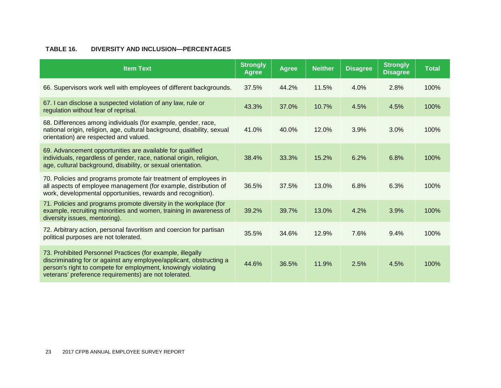#### **TABLE 16. DIVERSITY AND INCLUSION—PERCENTAGES**

| <b>Item Text</b>                                                                                                                                                                                                                                            | <b>Strongly</b><br><b>Agree</b> | <b>Agree</b> | <b>Neither</b> | <b>Disagree</b> | <b>Strongly</b><br><b>Disagree</b> | <b>Total</b> |
|-------------------------------------------------------------------------------------------------------------------------------------------------------------------------------------------------------------------------------------------------------------|---------------------------------|--------------|----------------|-----------------|------------------------------------|--------------|
| 66. Supervisors work well with employees of different backgrounds.                                                                                                                                                                                          | 37.5%                           | 44.2%        | 11.5%          | 4.0%            | 2.8%                               | 100%         |
| 67. I can disclose a suspected violation of any law, rule or<br>regulation without fear of reprisal.                                                                                                                                                        | 43.3%                           | 37.0%        | 10.7%          | 4.5%            | 4.5%                               | 100%         |
| 68. Differences among individuals (for example, gender, race,<br>national origin, religion, age, cultural background, disability, sexual<br>orientation) are respected and valued.                                                                          | 41.0%                           | 40.0%        | 12.0%          | 3.9%            | 3.0%                               | 100%         |
| 69. Advancement opportunities are available for qualified<br>individuals, regardless of gender, race, national origin, religion,<br>age, cultural background, disability, or sexual orientation.                                                            | 38.4%                           | 33.3%        | 15.2%          | 6.2%            | 6.8%                               | 100%         |
| 70. Policies and programs promote fair treatment of employees in<br>all aspects of employee management (for example, distribution of<br>work, developmental opportunities, rewards and recognition).                                                        | 36.5%                           | 37.5%        | 13.0%          | 6.8%            | 6.3%                               | 100%         |
| 71. Policies and programs promote diversity in the workplace (for<br>example, recruiting minorities and women, training in awareness of<br>diversity issues, mentoring).                                                                                    | 39.2%                           | 39.7%        | 13.0%          | 4.2%            | 3.9%                               | 100%         |
| 72. Arbitrary action, personal favoritism and coercion for partisan<br>political purposes are not tolerated.                                                                                                                                                | 35.5%                           | 34.6%        | 12.9%          | 7.6%            | 9.4%                               | 100%         |
| 73. Prohibited Personnel Practices (for example, illegally<br>discriminating for or against any employee/applicant, obstructing a<br>person's right to compete for employment, knowingly violating<br>veterans' preference requirements) are not tolerated. | 44.6%                           | 36.5%        | 11.9%          | 2.5%            | 4.5%                               | 100%         |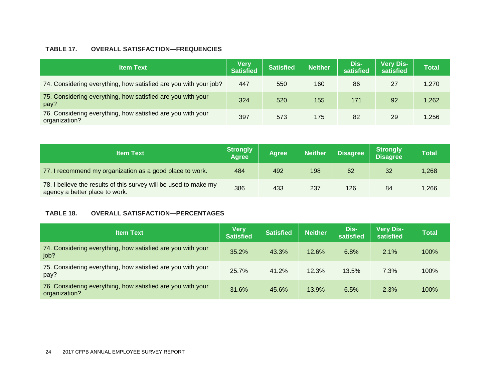#### **TABLE 17. OVERALL SATISFACTION—FREQUENCIES**

| <b>Item Text</b>                                                             | <b>Very</b><br><b>Satisfied</b> | <b>Satisfied</b> | <b>Neither</b> | Dis-<br>satisfied | <b>Very Dis-</b><br>satisfied | <b>Total</b> |
|------------------------------------------------------------------------------|---------------------------------|------------------|----------------|-------------------|-------------------------------|--------------|
| 74. Considering everything, how satisfied are you with your job?             | 447                             | 550              | 160            | 86                | 27                            | 1,270        |
| 75. Considering everything, how satisfied are you with your<br>pay?          | 324                             | 520              | 155            | 171               | 92                            | 1,262        |
| 76. Considering everything, how satisfied are you with your<br>organization? | 397                             | 573              | 175            | 82                | 29                            | 256, ا       |

| <b>Item Text</b>                                                                                   | <b>Strongly</b><br><b>Agree</b> | <b>Agree</b> | <b>Neither</b> | <b>Disagree</b> | <b>Strongly</b><br><b>Disagree</b> | <b>Total</b> |
|----------------------------------------------------------------------------------------------------|---------------------------------|--------------|----------------|-----------------|------------------------------------|--------------|
| 77. I recommend my organization as a good place to work.                                           | 484                             | 492          | 198            | 62              | 32                                 | 1,268        |
| 78. I believe the results of this survey will be used to make my<br>agency a better place to work. | 386                             | 433          | 237            | 126             | 84                                 | 266,         |

#### **TABLE 18. OVERALL SATISFACTION—PERCENTAGES**

| <b>Item Text</b>                                                             | <b>Very</b><br><b>Satisfied</b> | <b>Satisfied</b> | <b>Neither</b> | Dis-<br>satisfied | <b>Very Dis-</b><br>satisfied | <b>Total</b> |
|------------------------------------------------------------------------------|---------------------------------|------------------|----------------|-------------------|-------------------------------|--------------|
| 74. Considering everything, how satisfied are you with your<br>job?          | 35.2%                           | 43.3%            | 12.6%          | 6.8%              | 2.1%                          | 100%         |
| 75. Considering everything, how satisfied are you with your<br>pay?          | 25.7%                           | 41.2%            | 12.3%          | 13.5%             | 7.3%                          | 100%         |
| 76. Considering everything, how satisfied are you with your<br>organization? | 31.6%                           | 45.6%            | 13.9%          | 6.5%              | 2.3%                          | 100%         |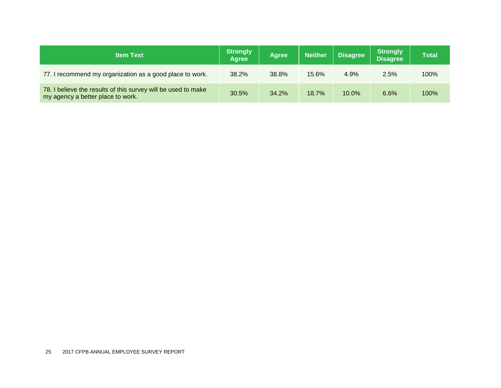| <b>Item Text</b>                                                                                   | Strongly<br><b>Agree</b> | <b>Agree</b> | <b>Neither</b> | <b>Disagree</b> | <b>Strongly</b><br><b>Disagree</b> | <b>Total</b> |
|----------------------------------------------------------------------------------------------------|--------------------------|--------------|----------------|-----------------|------------------------------------|--------------|
| 77. I recommend my organization as a good place to work.                                           | 38.2%                    | 38.8%        | 15.6%          | 4.9%            | 2.5%                               | 100%         |
| 78. I believe the results of this survey will be used to make<br>my agency a better place to work. | 30.5%                    | 34.2%        | 18.7%          | $10.0\%$        | 6.6%                               | 100%         |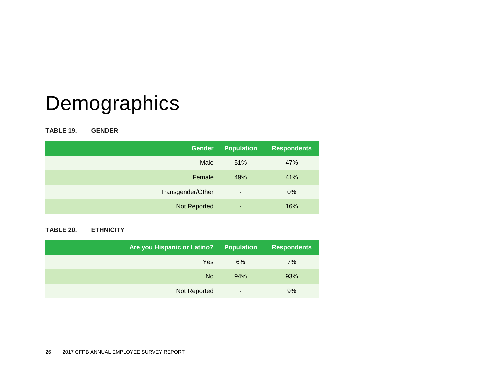# Demographics

**TABLE 19. GENDER**

| <b>Gender</b>     | <b>Population</b>        | <b>Respondents</b> |
|-------------------|--------------------------|--------------------|
| Male              | 51%                      | 47%                |
| Female            | 49%                      | 41%                |
| Transgender/Other | $\overline{\phantom{a}}$ | 0%                 |
| Not Reported      | ٠                        | 16%                |

#### **TABLE 20. ETHNICITY**

| <b>Are you Hispanic or Latino?</b> | <b>Population</b>        | <b>Respondents</b> |
|------------------------------------|--------------------------|--------------------|
| Yes                                | 6%                       | 7%                 |
| <b>No</b>                          | 94%                      | 93%                |
| Not Reported                       | $\overline{\phantom{a}}$ | 9%                 |